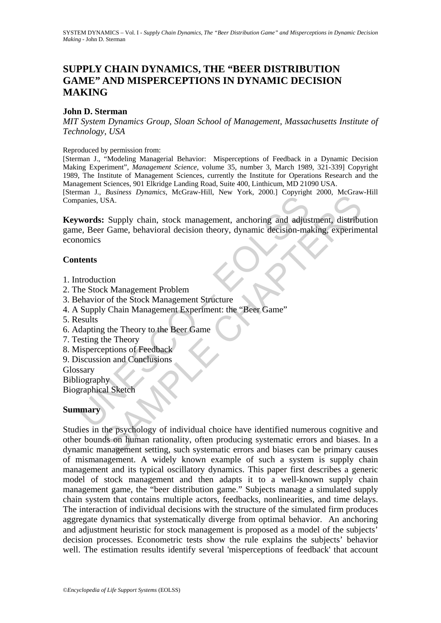# **SUPPLY CHAIN DYNAMICS, THE "BEER DISTRIBUTION GAME" AND MISPERCEPTIONS IN DYNAMIC DECISION MAKING**

### **John D. Sterman**

*MIT System Dynamics Group*, *Sloan School of Management*, *Massachusetts Institute of Technology*, *USA*

#### Reproduced by permission from:

[Sterman J., "Modeling Managerial Behavior: Misperceptions of Feedback in a Dynamic Decision Making Experiment", *Management Science*, volume 35, number 3, March 1989, 321-339] Copyright 1989, The Institute of Management Sciences, currently the Institute for Operations Research and the Management Sciences, 901 Elkridge Landing Road, Suite 400, Linthicum, MD 21090 USA. [Sterman J., *Business Dynamics*, McGraw-Hill, New York, 2000.] Copyright 2000, McGraw-Hill Companies, USA.

panies, USA.<br>
words: Supply chain, stock management, anchoring and adjus<br>
e. Beer Game, behavioral decision theory, dynamic decision-ma<br>
nomics<br>
ttents<br>
ttents<br>
ttents<br>
ttendies<br>
ttents<br>
ttendies<br>
ttents<br>
ttendies<br>
ttents<br> **Keywords:** Supply chain, stock management, anchoring and adjustment, distribution game, Beer Game, behavioral decision theory, dynamic decision-making, experimental economics

### **Contents**

- 1. Introduction
- 2. The Stock Management Problem
- 3. Behavior of the Stock Management Structure
- 4. A Supply Chain Management Experiment: the "Beer Game"
- 5. Results
- 6. Adapting the Theory to the Beer Game
- 7. Testing the Theory
- 8. Misperceptions of Feedback
- 9. Discussion and Conclusions
- Glossary

**Bibliography** 

Biographical Sketch

### **Summary**

SAMPLE CHAPTERS Studies in the psychology of individual choice have identified numerous cognitive and other bounds on human rationality, often producing systematic errors and biases. In a dynamic management setting, such systematic errors and biases can be primary causes of mismanagement. A widely known example of such a system is supply chain management and its typical oscillatory dynamics. This paper first describes a generic model of stock management and then adapts it to a well-known supply chain management game, the "beer distribution game." Subjects manage a simulated supply chain system that contains multiple actors, feedbacks, nonlinearities, and time delays. The interaction of individual decisions with the structure of the simulated firm produces aggregate dynamics that systematically diverge from optimal behavior. An anchoring and adjustment heuristic for stock management is proposed as a model of the subjects' decision processes. Econometric tests show the rule explains the subjects' behavior well. The estimation results identify several 'misperceptions of feedback' that account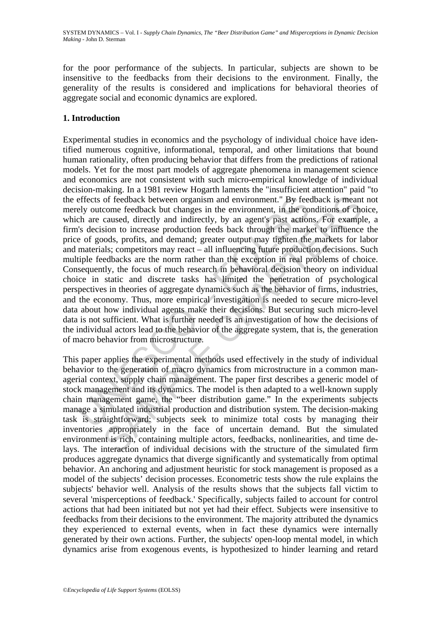for the poor performance of the subjects. In particular, subjects are shown to be insensitive to the feedbacks from their decisions to the environment. Finally, the generality of the results is considered and implications for behavioral theories of aggregate social and economic dynamics are explored.

# **1. Introduction**

effects of feedback between organism and environment." By feedback between organism and environment, in the coch are caused, directly and indirectly, by an agent's past actior's c's cission to increase production feeds bac of feedback between organism and environment." By feedback is meant<br>come feedback but changes in the environment, in the conditions of changes<br>caused, directly and indirectly, by an agent's past actions. For example<br>ison t Experimental studies in economics and the psychology of individual choice have identified numerous cognitive, informational, temporal, and other limitations that bound human rationality, often producing behavior that differs from the predictions of rational models. Yet for the most part models of aggregate phenomena in management science and economics are not consistent with such micro-empirical knowledge of individual decision-making. In a 1981 review Hogarth laments the "insufficient attention" paid "to the effects of feedback between organism and environment." By feedback is meant not merely outcome feedback but changes in the environment, in the conditions of choice, which are caused, directly and indirectly, by an agent's past actions. For example, a firm's decision to increase production feeds back through the market to influence the price of goods, profits, and demand; greater output may tighten the markets for labor and materials; competitors may react – all influencing future production decisions. Such multiple feedbacks are the norm rather than the exception in real problems of choice. Consequently, the focus of much research in behavioral decision theory on individual choice in static and discrete tasks has limited the penetration of psychological perspectives in theories of aggregate dynamics such as the behavior of firms, industries, and the economy. Thus, more empirical investigation is needed to secure micro-level data about how individual agents make their decisions. But securing such micro-level data is not sufficient. What is further needed is an investigation of how the decisions of the individual actors lead to the behavior of the aggregate system, that is, the generation of macro behavior from microstructure.

This paper applies the experimental methods used effectively in the study of individual behavior to the generation of macro dynamics from microstructure in a common managerial context, supply chain management. The paper first describes a generic model of stock management and its dynamics. The model is then adapted to a well-known supply chain management game, the "beer distribution game." In the experiments subjects manage a simulated industrial production and distribution system. The decision-making task is straightforward: subjects seek to minimize total costs by managing their inventories appropriately in the face of uncertain demand. But the simulated environment is rich, containing multiple actors, feedbacks, nonlinearities, and time delays. The interaction of individual decisions with the structure of the simulated firm produces aggregate dynamics that diverge significantly and systematically from optimal behavior. An anchoring and adjustment heuristic for stock management is proposed as a model of the subjects' decision processes. Econometric tests show the rule explains the subjects' behavior well. Analysis of the results shows that the subjects fall victim to several 'misperceptions of feedback.' Specifically, subjects failed to account for control actions that had been initiated but not yet had their effect. Subjects were insensitive to feedbacks from their decisions to the environment. The majority attributed the dynamics they experienced to external events, when in fact these dynamics were internally generated by their own actions. Further, the subjects' open-loop mental model, in which dynamics arise from exogenous events, is hypothesized to hinder learning and retard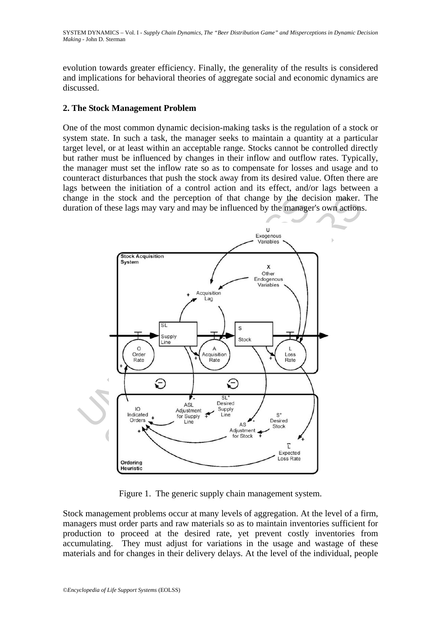evolution towards greater efficiency. Finally, the generality of the results is considered and implications for behavioral theories of aggregate social and economic dynamics are discussed.

## **2. The Stock Management Problem**

One of the most common dynamic decision-making tasks is the regulation of a stock or system state. In such a task, the manager seeks to maintain a quantity at a particular target level, or at least within an acceptable range. Stocks cannot be controlled directly but rather must be influenced by changes in their inflow and outflow rates. Typically, the manager must set the inflow rate so as to compensate for losses and usage and to counteract disturbances that push the stock away from its desired value. Often there are lags between the initiation of a control action and its effect, and/or lags between a change in the stock and the perception of that change by the decision maker. The duration of these lags may vary and may be influenced by the manager's own actions.



Figure 1. The generic supply chain management system.

Stock management problems occur at many levels of aggregation. At the level of a firm, managers must order parts and raw materials so as to maintain inventories sufficient for production to proceed at the desired rate, yet prevent costly inventories from accumulating. They must adjust for variations in the usage and wastage of these materials and for changes in their delivery delays. At the level of the individual, people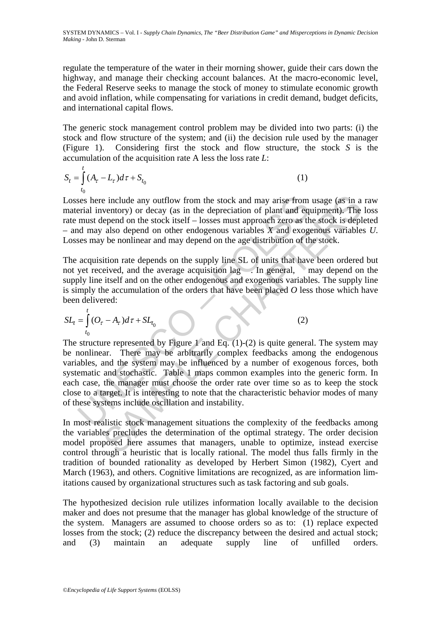SYSTEM DYNAMICS – Vol. I - *Supply Chain Dynamics, The "Beer Distribution Game" and Misperceptions in Dynamic Decision Making* - John D. Sterman

regulate the temperature of the water in their morning shower, guide their cars down the highway, and manage their checking account balances. At the macro-economic level, the Federal Reserve seeks to manage the stock of money to stimulate economic growth and avoid inflation, while compensating for variations in credit demand, budget deficits, and international capital flows.

The generic stock management control problem may be divided into two parts: (i) the stock and flow structure of the system; and (ii) the decision rule used by the manager (Figure 1). Considering first the stock and flow structure, the stock *S* is the accumulation of the acquisition rate A less the loss rate *L*:

$$
S_t = \int_{t_0}^t (A_\tau - L_\tau) d\tau + S_{t_0}
$$
 (1)

Losses here include any outflow from the stock and may arise from usage (as in a raw material inventory) or decay (as in the depreciation of plant and equipment). The loss rate must depend on the stock itself – losses must approach zero as the stock is depleted – and may also depend on other endogenous variables *X* and exogenous variables *U*. Losses may be nonlinear and may depend on the age distribution of the stock.

The acquisition rate depends on the supply line SL of units that have been ordered but not yet received, and the average acquisition lag . In general, may depend on the supply line itself and on the other endogenous and exogenous variables. The supply line is simply the accumulation of the orders that have been placed *O* less those which have been delivered:

$$
SL_t = \int_{t_0}^t (O_\tau - A_\tau) d\tau + SL_{t_0}
$$
 (2)

ses here include any outflow from the stock and may arise from<br>erial inventory) or decay (as in the depreciation of plant and eq<br>must depend on the stock itself – losses must approach zero as the<br>d may also depend on othe e include any outflow from the stock and may arise from usage (as in a<br>ventory) or decay (as in the depreciation of plant and equipment). The<br>lepend on the stock itself- losses must approach zero as the stock is deple<br>als The structure represented by Figure 1 and Eq.  $(1)-(2)$  is quite general. The system may be nonlinear. There may be arbitrarily complex feedbacks among the endogenous variables, and the system may be influenced by a number of exogenous forces, both systematic and stochastic. Table 1 maps common examples into the generic form. In each case, the manager must choose the order rate over time so as to keep the stock close to a target. It is interesting to note that the characteristic behavior modes of many of these systems include oscillation and instability.

In most realistic stock management situations the complexity of the feedbacks among the variables precludes the determination of the optimal strategy. The order decision model proposed here assumes that managers, unable to optimize, instead exercise control through a heuristic that is locally rational. The model thus falls firmly in the tradition of bounded rationality as developed by Herbert Simon (1982), Cyert and March (1963), and others. Cognitive limitations are recognized, as are information limitations caused by organizational structures such as task factoring and sub goals.

The hypothesized decision rule utilizes information locally available to the decision maker and does not presume that the manager has global knowledge of the structure of the system. Managers are assumed to choose orders so as to: (1) replace expected losses from the stock; (2) reduce the discrepancy between the desired and actual stock; and (3) maintain an adequate supply line of unfilled orders.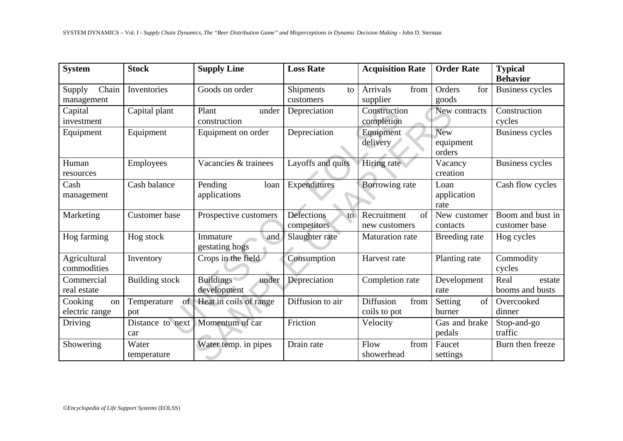| SYSTEM DYNAMICS – Vol. I - Supply Chain Dynamics, The "Beer Distribution Game" and Misperceptions in Dynamic Decision Making - John D. Sterman |                          |                                          |                                 |                                     |                                   |                                   |  |  |  |
|------------------------------------------------------------------------------------------------------------------------------------------------|--------------------------|------------------------------------------|---------------------------------|-------------------------------------|-----------------------------------|-----------------------------------|--|--|--|
|                                                                                                                                                |                          |                                          |                                 |                                     |                                   |                                   |  |  |  |
| <b>System</b>                                                                                                                                  | <b>Stock</b>             | <b>Supply Line</b>                       | <b>Loss Rate</b>                | <b>Acquisition Rate</b>             | <b>Order Rate</b>                 | <b>Typical</b><br><b>Behavior</b> |  |  |  |
| Chain<br>Supply<br>management                                                                                                                  | Inventories              | Goods on order                           | Shipments<br>to<br>customers    | <b>Arrivals</b><br>from<br>supplier | for<br>Orders<br>goods            | <b>Business cycles</b>            |  |  |  |
| Capital<br>investment                                                                                                                          | Capital plant            | Plant<br>under<br>construction           | Depreciation                    | Construction<br>completion          | New contracts                     | Construction<br>cycles            |  |  |  |
| Equipment                                                                                                                                      | Equipment                | Equipment on order                       | Depreciation                    | Equipment<br>delivery               | <b>New</b><br>equipment<br>orders | <b>Business cycles</b>            |  |  |  |
| Human<br>resources                                                                                                                             | Employees                | Vacancies & trainees                     | Layoffs and quits               | <b>Hiring</b> rate                  | Vacancy<br>creation               | <b>Business cycles</b>            |  |  |  |
| Cash<br>management                                                                                                                             | Cash balance             | Pending<br>loan<br>applications          | Expenditures                    | <b>Borrowing rate</b>               | Loan<br>application<br>rate       | Cash flow cycles                  |  |  |  |
| Marketing                                                                                                                                      | <b>Customer</b> base     | Prospective customers                    | Defections<br>to<br>competitors | of<br>Recruitment<br>new customers  | New customer<br>contacts          | Boom and bust in<br>customer base |  |  |  |
| Hog farming                                                                                                                                    | Hog stock                | Immature<br>and<br>gestating hogs        | Slaughter rate                  | <b>Maturation</b> rate              | Breeding rate                     | Hog cycles                        |  |  |  |
| Agricultural<br>commodities                                                                                                                    | Inventory                | Crops in the field                       | Consumption                     | Harvest rate                        | Planting rate                     | Commodity<br>cycles               |  |  |  |
| Commercial<br>real estate                                                                                                                      | <b>Building stock</b>    | <b>Buildings</b><br>under<br>development | Depreciation                    | Completion rate                     | Development<br>rate               | Real<br>estate<br>booms and busts |  |  |  |
| Cooking<br>on<br>electric range                                                                                                                | of<br>Temperature<br>pot | Heat in coils of range                   | Diffusion to air                | Diffusion<br>from<br>coils to pot   | of<br>Setting<br>burner           | Overcooked<br>dinner              |  |  |  |
| Driving                                                                                                                                        | Distance to next<br>car  | Momentum of car                          | Friction                        | Velocity                            | Gas and brake<br>pedals           | Stop-and-go<br>traffic            |  |  |  |
| Showering                                                                                                                                      | Water<br>temperature     | Water temp. in pipes                     | Drain rate                      | Flow<br>from<br>showerhead          | Faucet<br>settings                | Burn then freeze                  |  |  |  |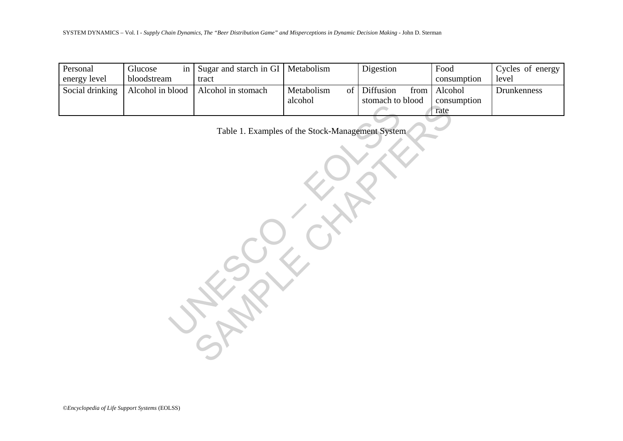| SYSTEM DYNAMICS – Vol. I - Supply Chain Dynamics, The "Beer Distribution Game" and Misperceptions in Dynamic Decision Making - John D. Sterman |                              |                                 |                             |                                       |                                |                           |  |  |  |  |  |
|------------------------------------------------------------------------------------------------------------------------------------------------|------------------------------|---------------------------------|-----------------------------|---------------------------------------|--------------------------------|---------------------------|--|--|--|--|--|
|                                                                                                                                                |                              |                                 |                             |                                       |                                |                           |  |  |  |  |  |
| Personal<br>energy level                                                                                                                       | Glucose<br>in<br>bloodstream | Sugar and starch in GI<br>tract | Metabolism                  | Digestion                             | Food<br>consumption            | Cycles of energy<br>level |  |  |  |  |  |
| Social drinking                                                                                                                                | Alcohol in blood             | Alcohol in stomach              | Metabolism<br>of<br>alcohol | Diffusion<br>from<br>stomach to blood | Alcohol<br>consumption<br>rate | Drunkenness               |  |  |  |  |  |
| Table 1. Examples of the Stock-Management System                                                                                               |                              |                                 |                             |                                       |                                |                           |  |  |  |  |  |
|                                                                                                                                                |                              |                                 |                             |                                       |                                |                           |  |  |  |  |  |
|                                                                                                                                                |                              |                                 |                             |                                       |                                |                           |  |  |  |  |  |
|                                                                                                                                                |                              |                                 |                             |                                       |                                |                           |  |  |  |  |  |
|                                                                                                                                                |                              |                                 |                             |                                       |                                |                           |  |  |  |  |  |
|                                                                                                                                                |                              |                                 |                             |                                       |                                |                           |  |  |  |  |  |
|                                                                                                                                                |                              |                                 |                             |                                       |                                |                           |  |  |  |  |  |
|                                                                                                                                                |                              |                                 |                             |                                       |                                |                           |  |  |  |  |  |
|                                                                                                                                                |                              |                                 |                             |                                       |                                |                           |  |  |  |  |  |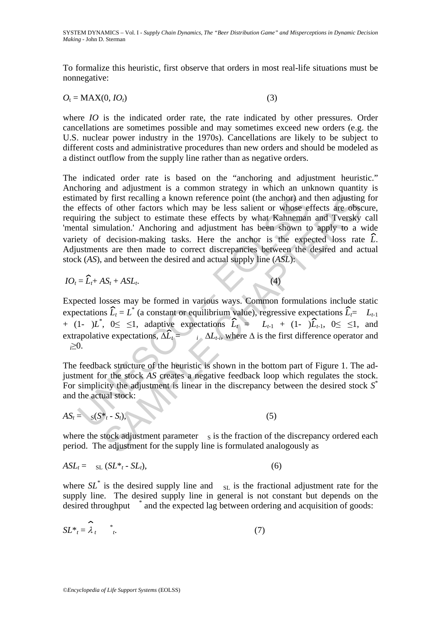To formalize this heuristic, first observe that orders in most real-life situations must be nonnegative:

$$
O_t = \text{MAX}(0, IO_t)
$$
\n<sup>(3)</sup>

where *IO* is the indicated order rate, the rate indicated by other pressures. Order cancellations are sometimes possible and may sometimes exceed new orders (e.g. the U.S. nuclear power industry in the 1970s). Cancellations are likely to be subject to different costs and administrative procedures than new orders and should be modeled as a distinct outflow from the supply line rather than as negative orders.

mated by first recalling a known reference point (the anchor) and<br>effects of other factors which may be less salient or whose eigning the subject to estimate these effects by what Kahnemann<br>trail simulation.' Anchoring an of other factors which may be less sailent or whose effects are obset are dots<br>of other factors which may be less sailent or whose effects are obset are obset<br>at a disjustment of the subject to estimate these effects by w The indicated order rate is based on the "anchoring and adjustment heuristic." Anchoring and adjustment is a common strategy in which an unknown quantity is estimated by first recalling a known reference point (the anchor) and then adjusting for the effects of other factors which may be less salient or whose effects are obscure, requiring the subject to estimate these effects by what Kahneman and Tversky call 'mental simulation.' Anchoring and adjustment has been shown to apply to a wide variety of decision-making tasks. Here the anchor is the expected loss rate *L*. Adjustments are then made to correct discrepancies between the desired and actual stock (*AS*), and between the desired and actual supply line (*ASL*):

$$
IO_t = \widehat{L}_t + AS_t + ASL_t.
$$
 (4)

Expected losses may be formed in various ways. Common formulations include static expectations  $\hat{L}_t = L^*$  (a constant or equilibrium value), regressive expectations  $\hat{L}_t = L_{t-1}$ + (1- ) $L^*$ , 0≤ ≤1, adaptive expectations  $\widehat{L}_t = L_{t-1} + (1-\widehat{L}_{t-1}, 0 ≤ ≤1,$  and extrapolative expectations,  $\Delta \hat{L}_t = i \Delta L_t$ , where  $\Delta$  is the first difference operator and *<sup>i</sup>*≥0.

The feedback structure of the heuristic is shown in the bottom part of Figure 1. The adjustment for the stock *AS* creates a negative feedback loop which regulates the stock. For simplicity the adjustment is linear in the discrepancy between the desired stock *S*\* and the actual stock:

$$
AS_t = s(S^* - S_t), \tag{5}
$$

where the stock adjustment parameter  $S$  is the fraction of the discrepancy ordered each period. The adjustment for the supply line is formulated analogously as

$$
ASL_t = S_L (SL^* - SL_t), \qquad (6)
$$

where  $SL^*$  is the desired supply line and  $SL$  is the fractional adjustment rate for the supply line. The desired supply line in general is not constant but depends on the desired throughput \* and the expected lag between ordering and acquisition of goods:

$$
SL^* = \hat{\lambda}_t \qquad \stackrel{*}{\cdot} \tag{7}
$$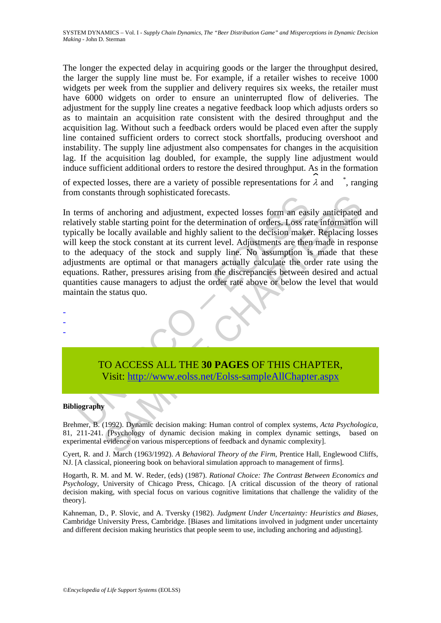The longer the expected delay in acquiring goods or the larger the throughput desired, the larger the supply line must be. For example, if a retailer wishes to receive 1000 widgets per week from the supplier and delivery requires six weeks, the retailer must have 6000 widgets on order to ensure an uninterrupted flow of deliveries. The adjustment for the supply line creates a negative feedback loop which adjusts orders so as to maintain an acquisition rate consistent with the desired throughput and the acquisition lag. Without such a feedback orders would be placed even after the supply line contained sufficient orders to correct stock shortfalls, producing overshoot and instability. The supply line adjustment also compensates for changes in the acquisition lag. If the acquisition lag doubled, for example, the supply line adjustment would induce sufficient additional orders to restore the desired throughput. As in the formation

of expected losses, there are a variety of possible representations for  $\lambda$  and , ranging from constants through sophisticated forecasts.

The constants already a separated a creation.<br>
Terms of anchoring and adjustment, expected losses form an eastively stable starting point for the determination of orders, Loss racally be locally available and highly salien ants anough sophisticated rotecasts.<br>
ants anough sophisticated rotecasts.<br>
ants anough sophisticated losses form an easily anticipated<br>
e locally available and highly salient to the decision maker. Replacing lo<br>
he stock In terms of anchoring and adjustment, expected losses form an easily anticipated and relatively stable starting point for the determination of orders. Loss rate information will typically be locally available and highly salient to the decision maker. Replacing losses will keep the stock constant at its current level. Adjustments are then made in response to the adequacy of the stock and supply line. No assumption is made that these adjustments are optimal or that managers actually calculate the order rate using the equations. Rather, pressures arising from the discrepancies between desired and actual quantities cause managers to adjust the order rate above or below the level that would maintain the status quo.

- - -

> TO ACCESS ALL THE **30 PAGES** OF THIS CHAPTER, Visit: http://www.eolss.net/Eolss-sampleAllChapter.aspx

#### **Bibliography**

Brehmer, B. (1992). Dynamic decision making: Human control of complex systems, *Acta Psychologica*, 81, 211-241. [Psychology of dynamic decision making in complex dynamic settings, based on experimental evidence on various misperceptions of feedback and dynamic complexity].

Cyert, R. and J. March (1963/1992). *A Behavioral Theory of the Firm*, Prentice Hall, Englewood Cliffs, NJ. [A classical, pioneering book on behavioral simulation approach to management of firms].

Hogarth, R. M. and M. W. Reder, (eds) (1987). *Rational Choice: The Contrast Between Economics and Psychology*, University of Chicago Press, Chicago. [A critical discussion of the theory of rational decision making, with special focus on various cognitive limitations that challenge the validity of the theory].

Kahneman, D., P. Slovic, and A. Tversky (1982). *Judgment Under Uncertainty: Heuristics and Biases*, Cambridge University Press, Cambridge. [Biases and limitations involved in judgment under uncertainty and different decision making heuristics that people seem to use, including anchoring and adjusting].